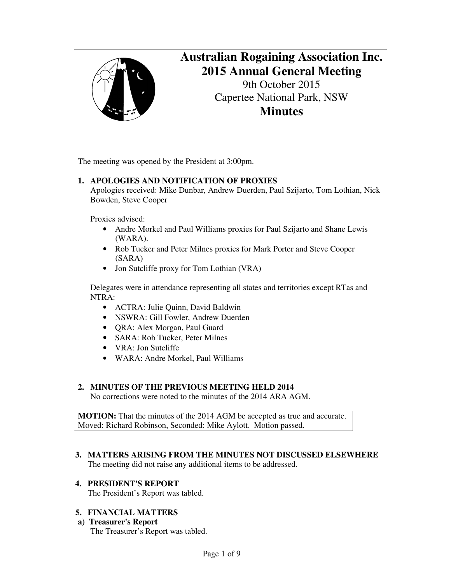

# **Australian Rogaining Association Inc. 2015 Annual General Meeting**

9th October 2015 Capertee National Park, NSW **Minutes**

The meeting was opened by the President at 3:00pm.

## **1. APOLOGIES AND NOTIFICATION OF PROXIES**

Apologies received: Mike Dunbar, Andrew Duerden, Paul Szijarto, Tom Lothian, Nick Bowden, Steve Cooper

Proxies advised:

- Andre Morkel and Paul Williams proxies for Paul Szijarto and Shane Lewis (WARA).
- Rob Tucker and Peter Milnes proxies for Mark Porter and Steve Cooper (SARA)
- Jon Sutcliffe proxy for Tom Lothian (VRA)

Delegates were in attendance representing all states and territories except RTas and NTRA:

- ACTRA: Julie Quinn, David Baldwin
- NSWRA: Gill Fowler, Andrew Duerden
- QRA: Alex Morgan, Paul Guard
- SARA: Rob Tucker, Peter Milnes
- VRA: Jon Sutcliffe
- WARA: Andre Morkel, Paul Williams

## **2. MINUTES OF THE PREVIOUS MEETING HELD 2014**

No corrections were noted to the minutes of the 2014 ARA AGM.

**MOTION:** That the minutes of the 2014 AGM be accepted as true and accurate. Moved: Richard Robinson, Seconded: Mike Aylott. Motion passed.

#### **3. MATTERS ARISING FROM THE MINUTES NOT DISCUSSED ELSEWHERE** The meeting did not raise any additional items to be addressed.

## **4. PRESIDENT'S REPORT**

The President's Report was tabled.

## **5. FINANCIAL MATTERS**

**a) Treasurer's Report** The Treasurer's Report was tabled.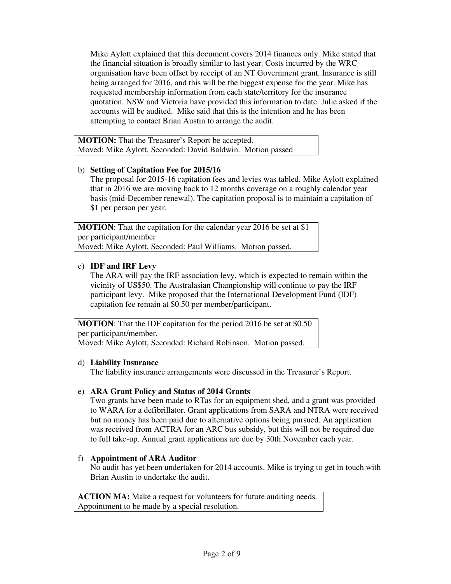Mike Aylott explained that this document covers 2014 finances only. Mike stated that the financial situation is broadly similar to last year. Costs incurred by the WRC organisation have been offset by receipt of an NT Government grant. Insurance is still being arranged for 2016, and this will be the biggest expense for the year. Mike has requested membership information from each state/territory for the insurance quotation. NSW and Victoria have provided this information to date. Julie asked if the accounts will be audited. Mike said that this is the intention and he has been attempting to contact Brian Austin to arrange the audit.

**MOTION:** That the Treasurer's Report be accepted. Moved: Mike Aylott, Seconded: David Baldwin. Motion passed

## b) **Setting of Capitation Fee for 2015/16**

The proposal for 2015-16 capitation fees and levies was tabled. Mike Aylott explained that in 2016 we are moving back to 12 months coverage on a roughly calendar year basis (mid-December renewal). The capitation proposal is to maintain a capitation of \$1 per person per year.

**MOTION:** That the capitation for the calendar year 2016 be set at \$1 per participant/member Moved: Mike Aylott, Seconded: Paul Williams. Motion passed.

## c) **IDF and IRF Levy**

The ARA will pay the IRF association levy, which is expected to remain within the vicinity of US\$50. The Australasian Championship will continue to pay the IRF participant levy. Mike proposed that the International Development Fund (IDF) capitation fee remain at \$0.50 per member/participant.

**MOTION:** That the IDF capitation for the period 2016 be set at \$0.50 per participant/member. Moved: Mike Aylott, Seconded: Richard Robinson. Motion passed.

## d) **Liability Insurance**

The liability insurance arrangements were discussed in the Treasurer's Report.

## e) **ARA Grant Policy and Status of 2014 Grants**

Two grants have been made to RTas for an equipment shed, and a grant was provided to WARA for a defibrillator. Grant applications from SARA and NTRA were received but no money has been paid due to alternative options being pursued. An application was received from ACTRA for an ARC bus subsidy, but this will not be required due to full take-up. Annual grant applications are due by 30th November each year.

## f) **Appointment of ARA Auditor**

No audit has yet been undertaken for 2014 accounts. Mike is trying to get in touch with Brian Austin to undertake the audit.

**ACTION MA:** Make a request for volunteers for future auditing needs. Appointment to be made by a special resolution.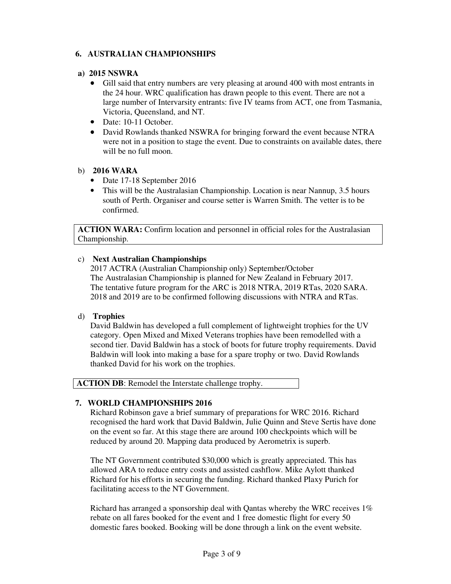## **6. AUSTRALIAN CHAMPIONSHIPS**

### **a) 2015 NSWRA**

- Gill said that entry numbers are very pleasing at around 400 with most entrants in the 24 hour. WRC qualification has drawn people to this event. There are not a large number of Intervarsity entrants: five IV teams from ACT, one from Tasmania, Victoria, Queensland, and NT.
- Date: 10-11 October.
- David Rowlands thanked NSWRA for bringing forward the event because NTRA were not in a position to stage the event. Due to constraints on available dates, there will be no full moon.

### b) **2016 WARA**

- Date 17-18 September 2016
- This will be the Australasian Championship. Location is near Nannup, 3.5 hours south of Perth. Organiser and course setter is Warren Smith. The vetter is to be confirmed.

**ACTION WARA:** Confirm location and personnel in official roles for the Australasian Championship.

## c) **Next Australian Championships**

2017 ACTRA (Australian Championship only) September/October The Australasian Championship is planned for New Zealand in February 2017. The tentative future program for the ARC is 2018 NTRA, 2019 RTas, 2020 SARA. 2018 and 2019 are to be confirmed following discussions with NTRA and RTas.

#### d) **Trophies**

David Baldwin has developed a full complement of lightweight trophies for the UV category. Open Mixed and Mixed Veterans trophies have been remodelled with a second tier. David Baldwin has a stock of boots for future trophy requirements. David Baldwin will look into making a base for a spare trophy or two. David Rowlands thanked David for his work on the trophies.

**ACTION DB**: Remodel the Interstate challenge trophy.

## **7. WORLD CHAMPIONSHIPS 2016**

Richard Robinson gave a brief summary of preparations for WRC 2016. Richard recognised the hard work that David Baldwin, Julie Quinn and Steve Sertis have done on the event so far. At this stage there are around 100 checkpoints which will be reduced by around 20. Mapping data produced by Aerometrix is superb.

The NT Government contributed \$30,000 which is greatly appreciated. This has allowed ARA to reduce entry costs and assisted cashflow. Mike Aylott thanked Richard for his efforts in securing the funding. Richard thanked Plaxy Purich for facilitating access to the NT Government.

Richard has arranged a sponsorship deal with Qantas whereby the WRC receives 1% rebate on all fares booked for the event and 1 free domestic flight for every 50 domestic fares booked. Booking will be done through a link on the event website.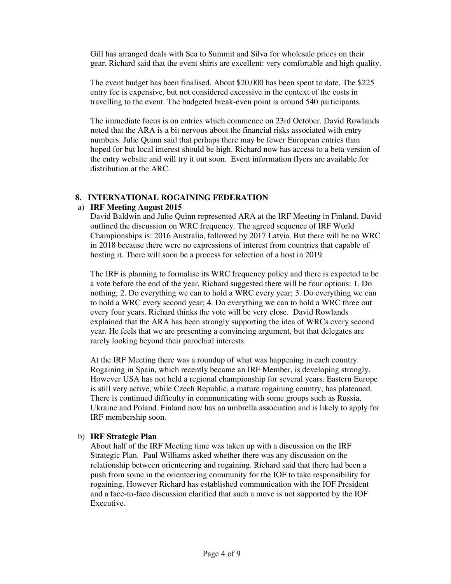Gill has arranged deals with Sea to Summit and Silva for wholesale prices on their gear. Richard said that the event shirts are excellent: very comfortable and high quality.

The event budget has been finalised. About \$20,000 has been spent to date. The \$225 entry fee is expensive, but not considered excessive in the context of the costs in travelling to the event. The budgeted break-even point is around 540 participants.

The immediate focus is on entries which commence on 23rd October. David Rowlands noted that the ARA is a bit nervous about the financial risks associated with entry numbers. Julie Quinn said that perhaps there may be fewer European entries than hoped for but local interest should be high. Richard now has access to a beta version of the entry website and will try it out soon. Event information flyers are available for distribution at the ARC.

#### **8. INTERNATIONAL ROGAINING FEDERATION**

#### a) **IRF Meeting August 2015**

David Baldwin and Julie Quinn represented ARA at the IRF Meeting in Finland. David outlined the discussion on WRC frequency. The agreed sequence of IRF World Championships is: 2016 Australia, followed by 2017 Latvia. But there will be no WRC in 2018 because there were no expressions of interest from countries that capable of hosting it. There will soon be a process for selection of a host in 2019.

The IRF is planning to formalise its WRC frequency policy and there is expected to be a vote before the end of the year. Richard suggested there will be four options: 1. Do nothing; 2. Do everything we can to hold a WRC every year; 3. Do everything we can to hold a WRC every second year; 4. Do everything we can to hold a WRC three out every four years. Richard thinks the vote will be very close. David Rowlands explained that the ARA has been strongly supporting the idea of WRCs every second year. He feels that we are presenting a convincing argument, but that delegates are rarely looking beyond their parochial interests.

At the IRF Meeting there was a roundup of what was happening in each country. Rogaining in Spain, which recently became an IRF Member, is developing strongly. However USA has not held a regional championship for several years. Eastern Europe is still very active, while Czech Republic, a mature rogaining country, has plateaued. There is continued difficulty in communicating with some groups such as Russia, Ukraine and Poland. Finland now has an umbrella association and is likely to apply for IRF membership soon.

#### b) **IRF Strategic Plan**

About half of the IRF Meeting time was taken up with a discussion on the IRF Strategic Plan. Paul Williams asked whether there was any discussion on the relationship between orienteering and rogaining. Richard said that there had been a push from some in the orienteering community for the IOF to take responsibility for rogaining. However Richard has established communication with the IOF President and a face-to-face discussion clarified that such a move is not supported by the IOF Executive.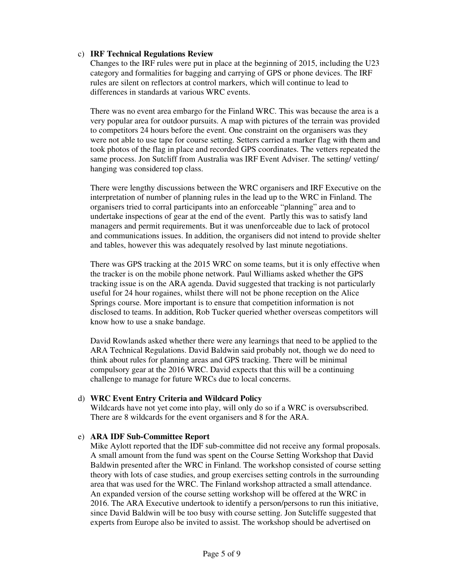#### c) **IRF Technical Regulations Review**

Changes to the IRF rules were put in place at the beginning of 2015, including the U23 category and formalities for bagging and carrying of GPS or phone devices. The IRF rules are silent on reflectors at control markers, which will continue to lead to differences in standards at various WRC events.

There was no event area embargo for the Finland WRC. This was because the area is a very popular area for outdoor pursuits. A map with pictures of the terrain was provided to competitors 24 hours before the event. One constraint on the organisers was they were not able to use tape for course setting. Setters carried a marker flag with them and took photos of the flag in place and recorded GPS coordinates. The vetters repeated the same process. Jon Sutcliff from Australia was IRF Event Adviser. The setting/ vetting/ hanging was considered top class.

There were lengthy discussions between the WRC organisers and IRF Executive on the interpretation of number of planning rules in the lead up to the WRC in Finland. The organisers tried to corral participants into an enforceable "planning" area and to undertake inspections of gear at the end of the event. Partly this was to satisfy land managers and permit requirements. But it was unenforceable due to lack of protocol and communications issues. In addition, the organisers did not intend to provide shelter and tables, however this was adequately resolved by last minute negotiations.

There was GPS tracking at the 2015 WRC on some teams, but it is only effective when the tracker is on the mobile phone network. Paul Williams asked whether the GPS tracking issue is on the ARA agenda. David suggested that tracking is not particularly useful for 24 hour rogaines, whilst there will not be phone reception on the Alice Springs course. More important is to ensure that competition information is not disclosed to teams. In addition, Rob Tucker queried whether overseas competitors will know how to use a snake bandage.

David Rowlands asked whether there were any learnings that need to be applied to the ARA Technical Regulations. David Baldwin said probably not, though we do need to think about rules for planning areas and GPS tracking. There will be minimal compulsory gear at the 2016 WRC. David expects that this will be a continuing challenge to manage for future WRCs due to local concerns.

#### d) **WRC Event Entry Criteria and Wildcard Policy**

Wildcards have not yet come into play, will only do so if a WRC is oversubscribed. There are 8 wildcards for the event organisers and 8 for the ARA.

#### e) **ARA IDF Sub-Committee Report**

Mike Aylott reported that the IDF sub-committee did not receive any formal proposals. A small amount from the fund was spent on the Course Setting Workshop that David Baldwin presented after the WRC in Finland. The workshop consisted of course setting theory with lots of case studies, and group exercises setting controls in the surrounding area that was used for the WRC. The Finland workshop attracted a small attendance. An expanded version of the course setting workshop will be offered at the WRC in 2016. The ARA Executive undertook to identify a person/persons to run this initiative, since David Baldwin will be too busy with course setting. Jon Sutcliffe suggested that experts from Europe also be invited to assist. The workshop should be advertised on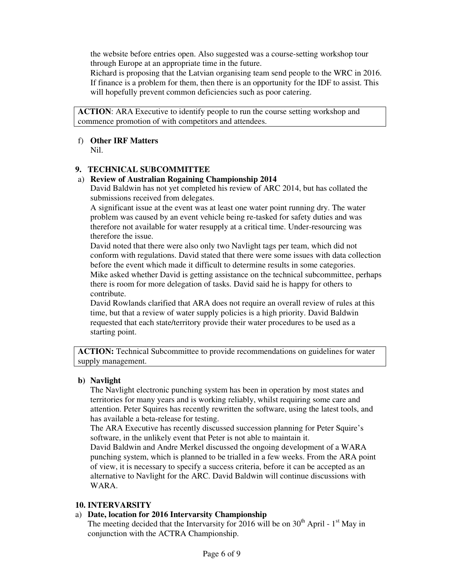the website before entries open. Also suggested was a course-setting workshop tour through Europe at an appropriate time in the future.

Richard is proposing that the Latvian organising team send people to the WRC in 2016. If finance is a problem for them, then there is an opportunity for the IDF to assist. This will hopefully prevent common deficiencies such as poor catering.

**ACTION**: ARA Executive to identify people to run the course setting workshop and commence promotion of with competitors and attendees.

## f) **Other IRF Matters**

Nil.

## **9. TECHNICAL SUBCOMMITTEE**

#### a) **Review of Australian Rogaining Championship 2014**

David Baldwin has not yet completed his review of ARC 2014, but has collated the submissions received from delegates.

A significant issue at the event was at least one water point running dry. The water problem was caused by an event vehicle being re-tasked for safety duties and was therefore not available for water resupply at a critical time. Under-resourcing was therefore the issue.

David noted that there were also only two Navlight tags per team, which did not conform with regulations. David stated that there were some issues with data collection before the event which made it difficult to determine results in some categories. Mike asked whether David is getting assistance on the technical subcommittee, perhaps there is room for more delegation of tasks. David said he is happy for others to contribute.

David Rowlands clarified that ARA does not require an overall review of rules at this time, but that a review of water supply policies is a high priority. David Baldwin requested that each state/territory provide their water procedures to be used as a starting point.

**ACTION:** Technical Subcommittee to provide recommendations on guidelines for water supply management.

## **b) Navlight**

The Navlight electronic punching system has been in operation by most states and territories for many years and is working reliably, whilst requiring some care and attention. Peter Squires has recently rewritten the software, using the latest tools, and has available a beta-release for testing.

The ARA Executive has recently discussed succession planning for Peter Squire's software, in the unlikely event that Peter is not able to maintain it.

David Baldwin and Andre Merkel discussed the ongoing development of a WARA punching system, which is planned to be trialled in a few weeks. From the ARA point of view, it is necessary to specify a success criteria, before it can be accepted as an alternative to Navlight for the ARC. David Baldwin will continue discussions with WARA.

#### **10. INTERVARSITY**

## a) **Date, location for 2016 Intervarsity Championship**

The meeting decided that the Intervarsity for 2016 will be on  $30<sup>th</sup>$  April - 1<sup>st</sup> May in conjunction with the ACTRA Championship.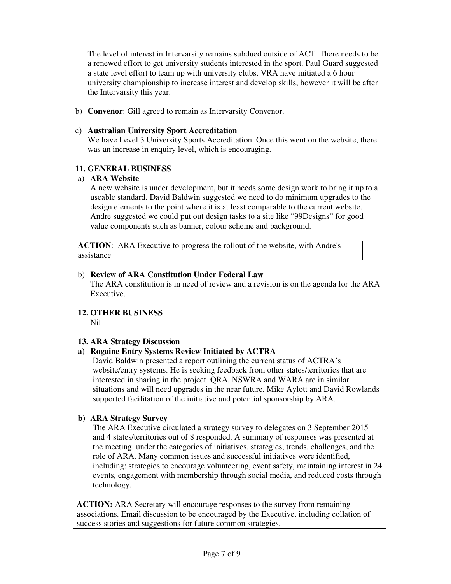The level of interest in Intervarsity remains subdued outside of ACT. There needs to be a renewed effort to get university students interested in the sport. Paul Guard suggested a state level effort to team up with university clubs. VRA have initiated a 6 hour university championship to increase interest and develop skills, however it will be after the Intervarsity this year.

b) **Convenor**: Gill agreed to remain as Intervarsity Convenor.

#### c) **Australian University Sport Accreditation**

We have Level 3 University Sports Accreditation. Once this went on the website, there was an increase in enquiry level, which is encouraging.

#### **11. GENERAL BUSINESS**

#### a) **ARA Website**

A new website is under development, but it needs some design work to bring it up to a useable standard. David Baldwin suggested we need to do minimum upgrades to the design elements to the point where it is at least comparable to the current website. Andre suggested we could put out design tasks to a site like "99Designs" for good value components such as banner, colour scheme and background.

**ACTION**: ARA Executive to progress the rollout of the website, with Andre's assistance

#### b) **Review of ARA Constitution Under Federal Law**

The ARA constitution is in need of review and a revision is on the agenda for the ARA Executive.

## **12. OTHER BUSINESS**

Nil

#### **13. ARA Strategy Discussion**

## **a) Rogaine Entry Systems Review Initiated by ACTRA**

David Baldwin presented a report outlining the current status of ACTRA's website/entry systems. He is seeking feedback from other states/territories that are interested in sharing in the project. QRA, NSWRA and WARA are in similar situations and will need upgrades in the near future. Mike Aylott and David Rowlands supported facilitation of the initiative and potential sponsorship by ARA.

#### **b) ARA Strategy Survey**

The ARA Executive circulated a strategy survey to delegates on 3 September 2015 and 4 states/territories out of 8 responded. A summary of responses was presented at the meeting, under the categories of initiatives, strategies, trends, challenges, and the role of ARA. Many common issues and successful initiatives were identified, including: strategies to encourage volunteering, event safety, maintaining interest in 24 events, engagement with membership through social media, and reduced costs through technology.

**ACTION:** ARA Secretary will encourage responses to the survey from remaining associations. Email discussion to be encouraged by the Executive, including collation of success stories and suggestions for future common strategies.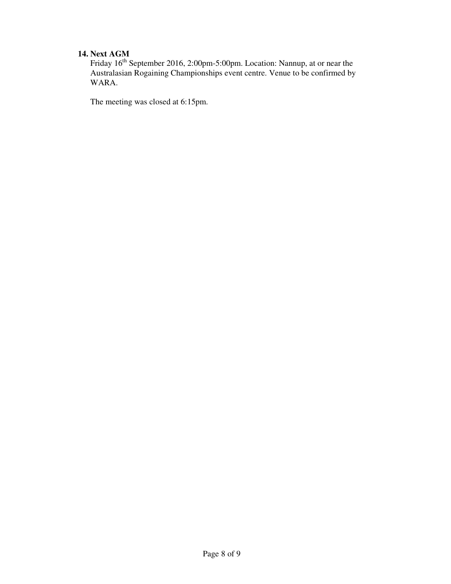## **14. Next AGM**

Friday 16<sup>th</sup> September 2016, 2:00pm-5:00pm. Location: Nannup, at or near the Australasian Rogaining Championships event centre. Venue to be confirmed by WARA.

The meeting was closed at 6:15pm.